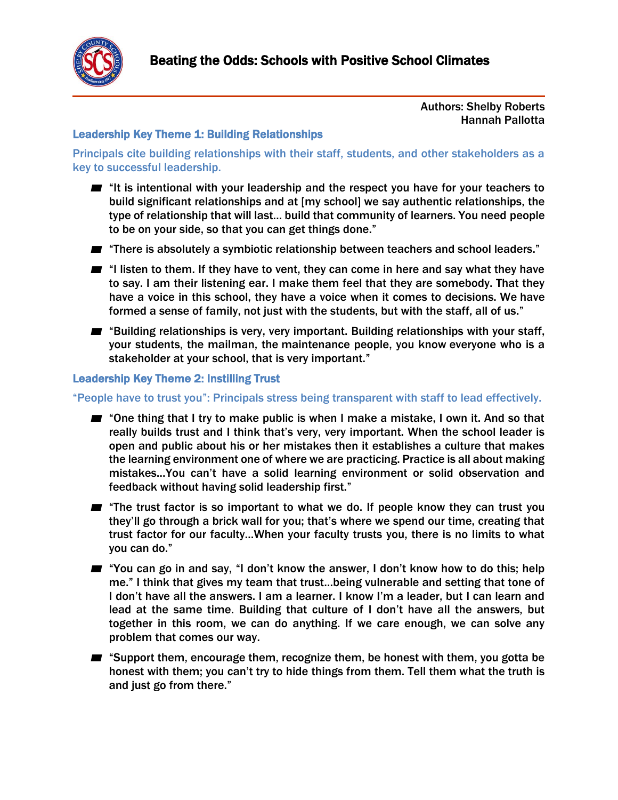

### Authors: Shelby Roberts Hannah Pallotta

### Leadership Key Theme 1: Building Relationships

Principals cite building relationships with their staff, students, and other stakeholders as a key to successful leadership.

- "It is intentional with your leadership and the respect you have for your teachers to build significant relationships and at [my school] we say authentic relationships, the type of relationship that will last… build that community of learners. You need people to be on your side, so that you can get things done."
- "There is absolutely a symbiotic relationship between teachers and school leaders."
- "I listen to them. If they have to vent, they can come in here and say what they have to say. I am their listening ear. I make them feel that they are somebody. That they have a voice in this school, they have a voice when it comes to decisions. We have formed a sense of family, not just with the students, but with the staff, all of us."
- "Building relationships is very, very important. Building relationships with your staff, your students, the mailman, the maintenance people, you know everyone who is a stakeholder at your school, that is very important."

## Leadership Key Theme 2: Instilling Trust

#### "People have to trust you": Principals stress being transparent with staff to lead effectively.

- "One thing that I try to make public is when I make a mistake, I own it. And so that really builds trust and I think that's very, very important. When the school leader is open and public about his or her mistakes then it establishes a culture that makes the learning environment one of where we are practicing. Practice is all about making mistakes…You can't have a solid learning environment or solid observation and feedback without having solid leadership first."
- "The trust factor is so important to what we do. If people know they can trust you they'll go through a brick wall for you; that's where we spend our time, creating that trust factor for our faculty…When your faculty trusts you, there is no limits to what you can do."
- "You can go in and say, "I don't know the answer, I don't know how to do this; help me." I think that gives my team that trust…being vulnerable and setting that tone of I don't have all the answers. I am a learner. I know I'm a leader, but I can learn and lead at the same time. Building that culture of I don't have all the answers, but together in this room, we can do anything. If we care enough, we can solve any problem that comes our way.
- "Support them, encourage them, recognize them, be honest with them, you gotta be honest with them; you can't try to hide things from them. Tell them what the truth is and just go from there."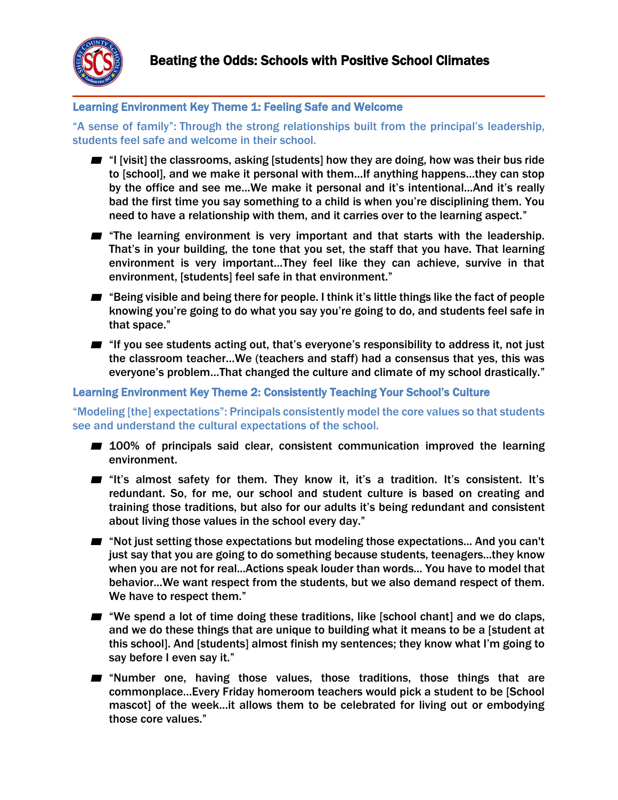

# Learning Environment Key Theme 1: Feeling Safe and Welcome

"A sense of family": Through the strong relationships built from the principal's leadership, students feel safe and welcome in their school.

- "I [visit] the classrooms, asking [students] how they are doing, how was their bus ride to [school], and we make it personal with them…If anything happens…they can stop by the office and see me…We make it personal and it's intentional…And it's really bad the first time you say something to a child is when you're disciplining them. You need to have a relationship with them, and it carries over to the learning aspect."
- **■** "The learning environment is very important and that starts with the leadership. That's in your building, the tone that you set, the staff that you have. That learning environment is very important…They feel like they can achieve, survive in that environment, [students] feel safe in that environment."
- "Being visible and being there for people. I think it's little things like the fact of people knowing you're going to do what you say you're going to do, and students feel safe in that space."
- "If you see students acting out, that's everyone's responsibility to address it, not just the classroom teacher…We (teachers and staff) had a consensus that yes, this was everyone's problem…That changed the culture and climate of my school drastically."

### Learning Environment Key Theme 2: Consistently Teaching Your School's Culture

"Modeling [the] expectations": Principals consistently model the core values so that students see and understand the cultural expectations of the school.

- 100% of principals said clear, consistent communication improved the learning environment.
- "It's almost safety for them. They know it, it's a tradition. It's consistent. It's redundant. So, for me, our school and student culture is based on creating and training those traditions, but also for our adults it's being redundant and consistent about living those values in the school every day."
- "Not just setting those expectations but modeling those expectations... And you can't just say that you are going to do something because students, teenagers...they know when you are not for real...Actions speak louder than words... You have to model that behavior...We want respect from the students, but we also demand respect of them. We have to respect them."
- "We spend a lot of time doing these traditions, like [school chant] and we do claps, and we do these things that are unique to building what it means to be a [student at this school]. And [students] almost finish my sentences; they know what I'm going to say before I even say it."
- "Number one, having those values, those traditions, those things that are commonplace…Every Friday homeroom teachers would pick a student to be [School mascot] of the week…it allows them to be celebrated for living out or embodying those core values."